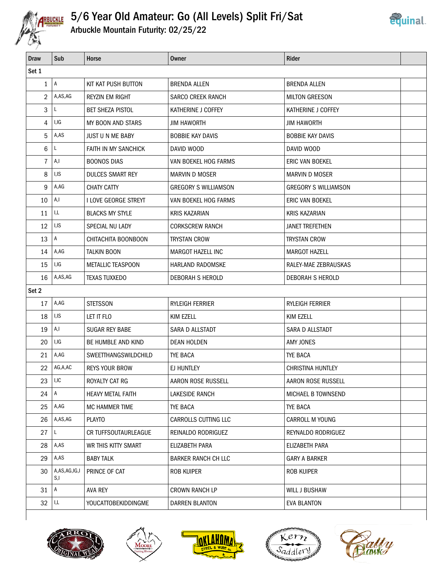

## 5/6 Year Old Amateur: Go (All Levels) Split Fri/Sat



Arbuckle Mountain Futurity: 02/25/22

| Draw           | Sub                 | Horse                       | <b>Owner</b>                | Rider                       |  |  |
|----------------|---------------------|-----------------------------|-----------------------------|-----------------------------|--|--|
| Set 1          |                     |                             |                             |                             |  |  |
| $\mathbf{1}$   | A                   | KIT KAT PUSH BUTTON         | <b>BRENDA ALLEN</b>         | <b>BRENDA ALLEN</b>         |  |  |
| $\overline{2}$ | A,AS,AG             | <b>REYZIN EM RIGHT</b>      | <b>SARCO CREEK RANCH</b>    | <b>MILTON GREESON</b>       |  |  |
| 3              | L                   | <b>BET SHEZA PISTOL</b>     | KATHERINE J COFFEY          | KATHERINE J COFFEY          |  |  |
| 4              | I,IG                | MY BOON AND STARS           | <b>JIM HAWORTH</b>          | <b>JIM HAWORTH</b>          |  |  |
| 5              | A,AS                | <b>JUST U N ME BABY</b>     | <b>BOBBIE KAY DAVIS</b>     | <b>BOBBIE KAY DAVIS</b>     |  |  |
| 6              | L                   | <b>FAITH IN MY SANCHICK</b> | DAVID WOOD                  | DAVID WOOD                  |  |  |
| 7              | A,I                 | <b>BOONOS DIAS</b>          | VAN BOEKEL HOG FARMS        | ERIC VAN BOEKEL             |  |  |
| 8              | I,IS                | <b>DULCES SMART REY</b>     | <b>MARVIN D MOSER</b>       | <b>MARVIN D MOSER</b>       |  |  |
| 9              | A,AG                | <b>CHATY CATTY</b>          | <b>GREGORY S WILLIAMSON</b> | <b>GREGORY S WILLIAMSON</b> |  |  |
| 10             | A,I                 | I LOVE GEORGE STREYT        | VAN BOEKEL HOG FARMS        | ERIC VAN BOEKEL             |  |  |
| 11             | I,L                 | <b>BLACKS MY STYLE</b>      | <b>KRIS KAZARIAN</b>        | <b>KRIS KAZARIAN</b>        |  |  |
| 12             | I,IS                | SPECIAL NU LADY             | <b>CORKSCREW RANCH</b>      | <b>JANET TREFETHEN</b>      |  |  |
| 13             | A                   | CHITACHITA BOONBOON         | <b>TRYSTAN CROW</b>         | <b>TRYSTAN CROW</b>         |  |  |
| 14             | A,AG                | <b>TALKIN BOON</b>          | MARGOT HAZELL INC           | <b>MARGOT HAZELL</b>        |  |  |
| 15             | I,IG                | <b>METALLIC TEASPOON</b>    | HARLAND RADOMSKE            | RALEY-MAE ZEBRAUSKAS        |  |  |
| 16             | A,AS,AG             | <b>TEXAS TUXXEDO</b>        | DEBORAH S HEROLD            | DEBORAH S HEROLD            |  |  |
| Set 2          |                     |                             |                             |                             |  |  |
| 17             | A,AG                | <b>STETSSON</b>             | RYLEIGH FERRIER             | RYLEIGH FERRIER             |  |  |
| 18             | I,IS                | LET IT FLO                  | <b>KIM EZELL</b>            | <b>KIM EZELL</b>            |  |  |
| 19             | A,I                 | SUGAR REY BABE              | SARA D ALLSTADT             | SARA D ALLSTADT             |  |  |
| 20             | I,IG                | BE HUMBLE AND KIND          | <b>DEAN HOLDEN</b>          | AMY JONES                   |  |  |
| 21             | A,AG                | SWEETTHANGSWILDCHILD        | TYE BACA                    | <b>TYE BACA</b>             |  |  |
| 22             | AG,A,AC             | <b>REYS YOUR BROW</b>       | EJ HUNTLEY                  | CHRISTINA HUNTLEY           |  |  |
| 23             | I,IC                | ROYALTY CAT RG              | AARON ROSE RUSSELL          | AARON ROSE RUSSELL          |  |  |
| 24             | A                   | <b>HEAVY METAL FAITH</b>    | LAKESIDE RANCH              | MICHAEL B TOWNSEND          |  |  |
| 25             | A,AG                | MC HAMMER TIME              | TYE BACA                    | TYE BACA                    |  |  |
| 26             | A,AS,AG             | <b>PLAYTO</b>               | CARROLLS CUTTING LLC        | CARROLL M YOUNG             |  |  |
| 27             | L                   | CR TUFFSOUTAURLEAGUE        | REINALDO RODRIGUEZ          | REYNALDO RODRIGUEZ          |  |  |
| 28             | A,AS                | WR THIS KITTY SMART         | ELIZABETH PARA              | ELIZABETH PARA              |  |  |
| 29             | A,AS                | <b>BABY TALK</b>            | <b>BARKER RANCH CH LLC</b>  | <b>GARY A BARKER</b>        |  |  |
| 30             | A,AS,AG,IG,I<br>S,I | PRINCE OF CAT               | ROB KUIPER                  | ROB KUIPER                  |  |  |
| 31             | $\mathsf{A}$        | AVA REY                     | <b>CROWN RANCH LP</b>       | WILL J BUSHAW               |  |  |
| 32             | I,L                 | <b>YOUCATTOBEKIDDINGME</b>  | DARREN BLANTON              | EVA BLANTON                 |  |  |
|                |                     |                             |                             |                             |  |  |









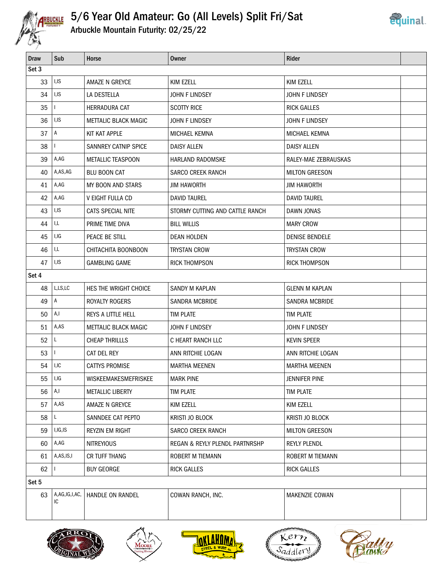

# 5/6 Year Old Amateur: Go (All Levels) Split Fri/Sat



Arbuckle Mountain Futurity: 02/25/22

| <b>Draw</b> | Sub                 | Horse                       | Owner                           | <b>Rider</b>          |  |  |
|-------------|---------------------|-----------------------------|---------------------------------|-----------------------|--|--|
| Set 3       |                     |                             |                                 |                       |  |  |
| 33          | I,IS                | AMAZE N GREYCE              | KIM EZELL                       | KIM EZELL             |  |  |
| 34          | I,IS                | LA DESTELLA                 | <b>JOHN F LINDSEY</b>           | JOHN F LINDSEY        |  |  |
| 35          |                     | HERRADURA CAT               | <b>SCOTTY RICE</b>              | <b>RICK GALLES</b>    |  |  |
| 36          | I,IS                | METTALIC BLACK MAGIC        | <b>JOHN F LINDSEY</b>           | JOHN F LINDSEY        |  |  |
| 37          | $\mathsf{A}$        | KIT KAT APPLE               | MICHAEL KEMNA                   | MICHAEL KEMNA         |  |  |
| 38          |                     | <b>SANNREY CATNIP SPICE</b> | <b>DAISY ALLEN</b>              | <b>DAISY ALLEN</b>    |  |  |
| 39          | A,AG                | <b>METALLIC TEASPOON</b>    | HARLAND RADOMSKE                | RALEY-MAE ZEBRAUSKAS  |  |  |
| 40          | A,AS,AG             | <b>BLU BOON CAT</b>         | <b>SARCO CREEK RANCH</b>        | <b>MILTON GREESON</b> |  |  |
| 41          | A,AG                | MY BOON AND STARS           | <b>JIM HAWORTH</b>              | <b>JIM HAWORTH</b>    |  |  |
| 42          | A,AG                | <b>V EIGHT FULLA CD</b>     | <b>DAVID TAUREL</b>             | <b>DAVID TAUREL</b>   |  |  |
| 43          | I, IS               | CATS SPECIAL NITE           | STORMY CUTTING AND CATTLE RANCH | <b>DAWN JONAS</b>     |  |  |
| 44          | I,L                 | PRIME TIME DIVA             | <b>BILL WILLIS</b>              | <b>MARY CROW</b>      |  |  |
| 45          | I,IG                | PEACE BE STILL              | <b>DEAN HOLDEN</b>              | <b>DENISE BENDELE</b> |  |  |
| 46          | I,L                 | CHITACHITA BOONBOON         | <b>TRYSTAN CROW</b>             | <b>TRYSTAN CROW</b>   |  |  |
| 47          | I, IS               | <b>GAMBLING GAME</b>        | <b>RICK THOMPSON</b>            | <b>RICK THOMPSON</b>  |  |  |
| Set 4       |                     |                             |                                 |                       |  |  |
| 48          | L,LS,LC             | HES THE WRIGHT CHOICE       | SANDY M KAPLAN                  | <b>GLENN M KAPLAN</b> |  |  |
| 49          | A                   | ROYALTY ROGERS              | <b>SANDRA MCBRIDE</b>           | <b>SANDRA MCBRIDE</b> |  |  |
| 50          | A, I                | REYS A LITTLE HELL          | <b>TIM PLATE</b>                | TIM PLATE             |  |  |
| 51          | A,AS                | <b>METTALIC BLACK MAGIC</b> | <b>JOHN F LINDSEY</b>           | JOHN F LINDSEY        |  |  |
| 52          | L                   | <b>CHEAP THRILLLS</b>       | C HEART RANCH LLC               | <b>KEVIN SPEER</b>    |  |  |
| 53          | I.                  | CAT DEL REY                 | ANN RITCHIE LOGAN               | ANN RITCHIE LOGAN     |  |  |
| 54          | I,IC                | <b>CATTYS PROMISE</b>       | <b>MARTHA MEENEN</b>            | <b>MARTHA MEENEN</b>  |  |  |
| 55          | I,IG                | WISKEEMAKESMEFRISKEE        | <b>MARK PINE</b>                | JENNIFER PINE         |  |  |
| 56          | A,I                 | <b>METALLIC LIBERTY</b>     | <b>TIM PLATE</b>                | <b>TIM PLATE</b>      |  |  |
| 57          | A,AS                | AMAZE N GREYCE              | KIM EZELL                       | KIM EZELL             |  |  |
| 58          | L                   | SANNDEE CAT PEPTO           | KRISTI JO BLOCK                 | KRISTI JO BLOCK       |  |  |
| 59          | I, IG, IS           | REYZIN EM RIGHT             | SARCO CREEK RANCH               | <b>MILTON GREESON</b> |  |  |
| 60          | A,AG                | <b>NITREYIOUS</b>           | REGAN & REYLY PLENDL PARTNRSHP  | <b>REYLY PLENDL</b>   |  |  |
| 61          | A,AS,IS,I           | CR TUFF THANG               | ROBERT M TIEMANN                | ROBERT M TIEMANN      |  |  |
| 62          |                     | <b>BUY GEORGE</b>           | <b>RICK GALLES</b>              | <b>RICK GALLES</b>    |  |  |
| Set 5       |                     |                             |                                 |                       |  |  |
| 63          | A,AG,IG,I,AC,<br>IC | HANDLE ON RANDEL            | COWAN RANCH, INC.               | MAKENZIE COWAN        |  |  |









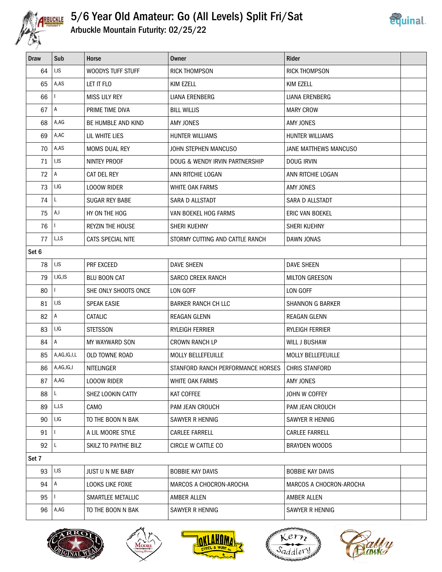

### 5/6 Year Old Amateur: Go (All Levels) Split Fri/Sat Arbuckle Mountain Futurity: 02/25/22



|  | Arbuckle Mountain Futurity: 02/25/22 |  |  |
|--|--------------------------------------|--|--|
|  |                                      |  |  |

| <b>Draw</b> | Sub          | <b>Horse</b>            | Owner                             | <b>Rider</b>              |  |
|-------------|--------------|-------------------------|-----------------------------------|---------------------------|--|
| 64          | I,IS         | WOODYS TUFF STUFF       | <b>RICK THOMPSON</b>              | <b>RICK THOMPSON</b>      |  |
| 65          | A,AS         | LET IT FLO              | KIM EZELL                         | KIM EZELL                 |  |
| 66          | ı            | <b>MISS LILY REY</b>    | LIANA ERENBERG                    | LIANA ERENBERG            |  |
| 67          | $\mathsf{A}$ | PRIME TIME DIVA         | <b>BILL WILLIS</b>                | <b>MARY CROW</b>          |  |
| 68          | A,AG         | BE HUMBLE AND KIND      | <b>AMY JONES</b>                  | <b>AMY JONES</b>          |  |
| 69          | A,AC         | LIL WHITE LIES          | <b>HUNTER WILLIAMS</b>            | HUNTER WILLIAMS           |  |
| 70          | A,AS         | <b>MOMS DUAL REY</b>    | JOHN STEPHEN MANCUSO              | JANE MATTHEWS MANCUSO     |  |
| 71          | I,IS         | NINTEY PROOF            | DOUG & WENDY IRVIN PARTNERSHIP    | <b>DOUG IRVIN</b>         |  |
| 72          | A            | CAT DEL REY             | ANN RITCHIE LOGAN                 | ANN RITCHIE LOGAN         |  |
| 73          | I,IG         | <b>LOOOW RIDER</b>      | WHITE OAK FARMS                   | AMY JONES                 |  |
| 74          | L            | <b>SUGAR REY BABE</b>   | SARA D ALLSTADT                   | SARA D ALLSTADT           |  |
| 75          | A,I          | HY ON THE HOG           | VAN BOEKEL HOG FARMS              | <b>ERIC VAN BOEKEL</b>    |  |
| 76          | $\mathbf{L}$ | <b>REYZIN THE HOUSE</b> | SHERI KUEHNY                      | SHERI KUEHNY              |  |
| 77          | L,LS         | CATS SPECIAL NITE       | STORMY CUTTING AND CATTLE RANCH   | DAWN JONAS                |  |
| Set 6       |              |                         |                                   |                           |  |
| 78          | I,IS         | PRF EXCEED              | <b>DAVE SHEEN</b>                 | <b>DAVE SHEEN</b>         |  |
| 79          | I, IG, IS    | <b>BLU BOON CAT</b>     | <b>SARCO CREEK RANCH</b>          | <b>MILTON GREESON</b>     |  |
| 80          | $\mathbf{I}$ | SHE ONLY SHOOTS ONCE    | LON GOFF                          | LON GOFF                  |  |
| 81          | I,IS         | <b>SPEAK EASIE</b>      | <b>BARKER RANCH CH LLC</b>        | <b>SHANNON G BARKER</b>   |  |
| 82          | $\mathsf{A}$ | CATALIC                 | <b>REAGAN GLENN</b>               | <b>REAGAN GLENN</b>       |  |
| 83          | I,IG         | <b>STETSSON</b>         | RYLEIGH FERRIER                   | RYLEIGH FERRIER           |  |
| 84          | $\mathsf{A}$ | MY WAYWARD SON          | <b>CROWN RANCH LP</b>             | WILL J BUSHAW             |  |
| 85          | A,AG,IG,I,L  | <b>OLD TOWNE ROAD</b>   | <b>MOLLY BELLEFEUILLE</b>         | <b>MOLLY BELLEFEUILLE</b> |  |
| 86          | A, AG, IG, I | NITELINGER              | STANFORD RANCH PERFORMANCE HORSES | <b>CHRIS STANFORD</b>     |  |
| 87          | A,AG         | <b>LOOOW RIDER</b>      | WHITE OAK FARMS                   | AMY JONES                 |  |
| 88          | L.           | SHEZ LOOKIN CATTY       | KAT COFFEE                        | JOHN W COFFEY             |  |
| 89          | L,LS         | CAMO                    | PAM JEAN CROUCH                   | PAM JEAN CROUCH           |  |
| 90          | I,IG         | TO THE BOON N BAK       | SAWYER R HENNIG                   | SAWYER R HENNIG           |  |
| 91          |              | A LIL MOORE STYLE       | <b>CARLEE FARRELL</b>             | <b>CARLEE FARRELL</b>     |  |
| 92          | L            | SKILZ TO PAYTHE BILZ    | CIRCLE W CATTLE CO                | <b>BRAYDEN WOODS</b>      |  |
| Set 7       |              |                         |                                   |                           |  |
| 93          | I,IS         | JUST U N ME BABY        | <b>BOBBIE KAY DAVIS</b>           | <b>BOBBIE KAY DAVIS</b>   |  |
| 94          | $\mathsf{A}$ | LOOKS LIKE FOXIE        | MARCOS A CHOCRON-AROCHA           | MARCOS A CHOCRON-AROCHA   |  |
| 95          |              | SMARTLEE METALLIC       | AMBER ALLEN                       | AMBER ALLEN               |  |
| 96          | A,AG         | TO THE BOON N BAK       | SAWYER R HENNIG                   | SAWYER R HENNIG           |  |









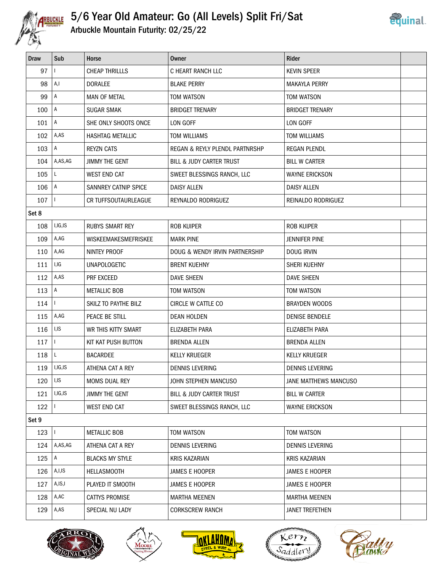

#### 5/6 Year Old Amateur: Go (All Levels) Split Fri/Sat Arbuckle Mountain Futurity: 02/25/22



| .<br><b>RITY</b> |  |  |  | Arbuckle Mountain Futurity: 02/25/22 |  |
|------------------|--|--|--|--------------------------------------|--|
|------------------|--|--|--|--------------------------------------|--|

| Draw  | Sub            | Horse                       | Owner                          | Rider                  |  |
|-------|----------------|-----------------------------|--------------------------------|------------------------|--|
| 97    | $\mathbf{I}$   | <b>CHEAP THRILLLS</b>       | C HEART RANCH LLC              | <b>KEVIN SPEER</b>     |  |
| 98    | A,I            | <b>DORALEE</b>              | <b>BLAKE PERRY</b>             | <b>MAKAYLA PERRY</b>   |  |
| 99    | $\mathsf{A}$   | <b>MAN OF METAL</b>         | TOM WATSON                     | TOM WATSON             |  |
| 100   | $\overline{A}$ | <b>SUGAR SMAK</b>           | <b>BRIDGET TRENARY</b>         | <b>BRIDGET TRENARY</b> |  |
| 101   | $\mathsf{A}$   | SHE ONLY SHOOTS ONCE        | LON GOFF                       | LON GOFF               |  |
| 102   | A,AS           | HASHTAG METALLIC            | <b>TOM WILLIAMS</b>            | <b>TOM WILLIAMS</b>    |  |
| 103   | $\mathsf{A}$   | <b>REYZN CATS</b>           | REGAN & REYLY PLENDL PARTNRSHP | <b>REGAN PLENDL</b>    |  |
| 104   | A,AS,AG        | <b>JIMMY THE GENT</b>       | BILL & JUDY CARTER TRUST       | <b>BILL W CARTER</b>   |  |
| 105   | L              | <b>WEST END CAT</b>         | SWEET BLESSINGS RANCH, LLC     | <b>WAYNE ERICKSON</b>  |  |
| 106   | A              | SANNREY CATNIP SPICE        | <b>DAISY ALLEN</b>             | <b>DAISY ALLEN</b>     |  |
| 107   | $\mathbf{I}$   | <b>CR TUFFSOUTAURLEAGUE</b> | REYNALDO RODRIGUEZ             | REINALDO RODRIGUEZ     |  |
| Set 8 |                |                             |                                |                        |  |
| 108   | I,IG,IS        | <b>RUBYS SMART REY</b>      | <b>ROB KUIPER</b>              | <b>ROB KUIPER</b>      |  |
| 109   | A,AG           | WISKEEMAKESMEFRISKEE        | <b>MARK PINE</b>               | <b>JENNIFER PINE</b>   |  |
| 110   | A,AG           | NINTEY PROOF                | DOUG & WENDY IRVIN PARTNERSHIP | DOUG IRVIN             |  |
| 111   | I,IG           | <b>UNAPOLOGETIC</b>         | <b>BRENT KUEHNY</b>            | SHERI KUEHNY           |  |
| 112   | A,AS           | PRF EXCEED                  | <b>DAVE SHEEN</b>              | <b>DAVE SHEEN</b>      |  |
| 113   | A              | <b>METALLIC BOB</b>         | TOM WATSON                     | TOM WATSON             |  |
| 114   | $\mathbf{L}$   | SKILZ TO PAYTHE BILZ        | CIRCLE W CATTLE CO             | <b>BRAYDEN WOODS</b>   |  |
| 115   | A,AG           | PEACE BE STILL              | <b>DEAN HOLDEN</b>             | <b>DENISE BENDELE</b>  |  |
| 116   | I,IS           | WR THIS KITTY SMART         | ELIZABETH PARA                 | ELIZABETH PARA         |  |
| 117   | $\mathbf{L}$   | KIT KAT PUSH BUTTON         | <b>BRENDA ALLEN</b>            | <b>BRENDA ALLEN</b>    |  |
| 118   | L              | <b>BACARDEE</b>             | <b>KELLY KRUEGER</b>           | <b>KELLY KRUEGER</b>   |  |
| 119   | I,IG,IS        | ATHENA CAT A REY            | <b>DENNIS LEVERING</b>         | <b>DENNIS LEVERING</b> |  |
| 120   | I,IS           | MOMS DUAL REY               | JOHN STEPHEN MANCUSO           | JANE MATTHEWS MANCUSO  |  |
| 121   | I, IG, IS      | JIMMY THE GENT              | BILL & JUDY CARTER TRUST       | <b>BILL W CARTER</b>   |  |
| 122   |                | <b>WEST END CAT</b>         | SWEET BLESSINGS RANCH, LLC     | <b>WAYNE ERICKSON</b>  |  |
| Set 9 |                |                             |                                |                        |  |
| 123   | $\mathbf{I}$   | <b>METALLIC BOB</b>         | TOM WATSON                     | TOM WATSON             |  |
| 124   | A,AS,AG        | ATHENA CAT A REY            | DENNIS LEVERING                | <b>DENNIS LEVERING</b> |  |
| 125   | $\mathsf{A}$   | <b>BLACKS MY STYLE</b>      | <b>KRIS KAZARIAN</b>           | <b>KRIS KAZARIAN</b>   |  |
| 126   | A,I,IS         | <b>HELLASMOOTH</b>          | JAMES E HOOPER                 | JAMES E HOOPER         |  |
| 127   | A,IS,I         | PLAYED IT SMOOTH            | JAMES E HOOPER                 | JAMES E HOOPER         |  |
| 128   | A,AC           | <b>CATTYS PROMISE</b>       | <b>MARTHA MEENEN</b>           | <b>MARTHA MEENEN</b>   |  |
| 129   | A,AS           | SPECIAL NU LADY             | <b>CORKSCREW RANCH</b>         | <b>JANET TREFETHEN</b> |  |